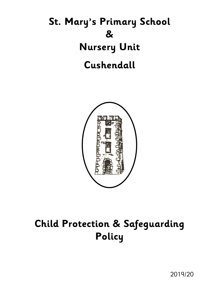# **St. Mary's Primary School & Nursery Unit Cushendall**



## **Child Protection & Safeguarding Policy**

2019/20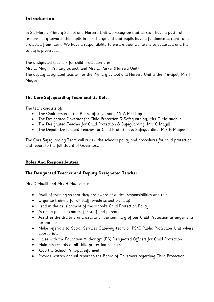### **Introduction**

In St. Mary's Primary School and Nursery Unit we recognize that all staff have a pastoral responsibility towards the pupils in our charge and that pupils have a fundamental right to be protected from harm. We have a responsibility to ensure their welfare is safeguarded and their safety is preserved.

The designated teachers for child protection are:

Mrs C. Magill (Primary School) and Mrs C. Parker (Nursery Unit).

The deputy designated teacher for the Primary School and Nursery Unit is the Principal, Mrs H Magee

### **The Core Safeguarding Team and its Role:**

The team consists of:

- The Chairperson of the Board of Governors; Mr A McKillop
- The Designated Governor for Child Protection & Safeguarding; Mrs C McLaughlin
- The Designated Teacher for Child Protection & Safeguarding; Mrs C Magill
- The Deputy Designated Teacher for Child Protection & Safeguarding. Mrs H Magee

The Core Safeguarding Team will review the school's policy and procedures for child protection and report to the full Board of Governors.

### **Roles And Responsibilities**

### **The Designated Teacher and Deputy Designated Teacher**

Mrs C Magill and Mrs H Magee must:

- Avail of training so that they are aware of duties, responsibilities and role
- Organise training for all staff (whole school training)
- Lead in the development of the school's Child Protection Policy
- Act as a point of contact for staff and parents
- Assist in the drafting and issuing of the summary of our Child Protection arrangements for parents
- Make referrals to Social Services Gateway team or PSNI Public Protection Unit where appropriate
- Liaise with the Education Authority's (EA) Designated Officers for Child Protection
- Maintain records of all child protection concerns
- Keep the School Principal informed
- Provide written annual report to the Board of Governors regarding Child Protection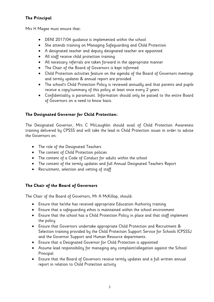### **The Principal**

Mrs H Magee must ensure that:

- DENI 2017/04 guidance is implemented within the school
- She attends training on Managing Safeguarding and Child Protection
- A designated teacher and deputy designated teacher are appointed
- All staff receive child protection training
- All necessary referrals are taken forward in the appropriate manner
- The Chair of the Board of Governors is kept informed
- Child Protection activities feature on the agenda of the Board of Governors meetings and termly updates & annual report are provided
- The school's Child Protection Policy is reviewed annually and that parents and pupils receive a copy/summary of this policy at least once every 2 years
- Confidentiality is paramount. Information should only be passed to the entire Board of Governors on a need to know basis.

### **The Designated Governor for Child Protection:**

The Designated Governor, Mrs C McLaughlin should avail of Child Protection Awareness training delivered by CPSSS and will take the lead in Child Protection issues in order to advise the Governors on:

- The role of the Designated Teachers
- The content of Child Protection policies
- The content of a Code of Conduct for adults within the school
- The content of the termly updates and full Annual Designated Teachers Report
- Recruitment, selection and vetting of staff

### **The Chair of the Board of Governors**

The Chair of the Board of Governors, Mr A McKillop, should:

- Ensure that he/she has received appropriate Education Authority training
- Ensure that a safeguarding ethos is maintained within the school environment
- Ensure that the school has a Child Protection Policy in place and that staff implement the policy
- Ensure that Governors undertake appropriate Child Protection and Recruitment & Selection training provided by the Child Protection Support Service for Schools ICPSSSJ and the Governor Support and Human Resource departments.
- Ensure that a Designated Governor for Child Protection is appointed
- Assume lead responsibility for managing any complaint/allegation against the School Principal
- Ensure that the Board of Governors receive termly updates and a full written annual report in relation to Child Protection activity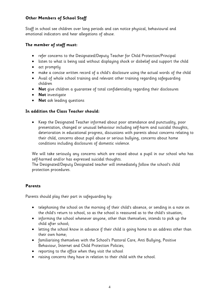### **Other Members of School Staff**

Staff in school see children over long periods and can notice physical, behavioural and emotional indicators and hear allegations of abuse.

### **The member of staff must:**

- refer concerns to the Designated/Deputy Teacher for Child Protection/Principal
- listen to what is being said without displaying shock or disbelief and support the child
- act promptly
- make a concise written record of a child's disclosure using the actual words of the child
- Avail of whole school training and relevant other training regarding safeguarding children
- **Not** give children a guarantee of total confidentiality regarding their disclosures
- **Not** investigate
- **Not** ask leading questions

### **In addition the Class Teacher should:**

 Keep the Designated Teacher informed about poor attendance and punctuality, poor presentation, changed or unusual behaviour including self-harm and suicidal thoughts, deterioration in educational progress, discussions with parents about concerns relating to their child, concerns about pupil abuse or serious bullying, concerns about home conditions including disclosures of domestic violence.

We will take seriously any concerns which are raised about a pupil in our school who has self-harmed and/or has expressed suicidal thoughts.

The Designated/Deputy Designated teacher will immediately follow the school's child protection procedures.

### **Parents**

Parents should play their part in safeguarding by:

- telephoning the school on the morning of their child's absence, or sending in a note on the child's return to school, so as the school is reassured as to the child's situation;
- informing the school whenever anyone, other than themselves, intends to pick up the child after school;
- letting the school know in advance if their child is going home to an address other than their own home;
- familiarising themselves with the School's Pastoral Care, Anti Bullying, Positive Behaviour, Internet and Child Protection Policies;
- reporting to the office when they visit the school
- raising concerns they have in relation to their child with the school.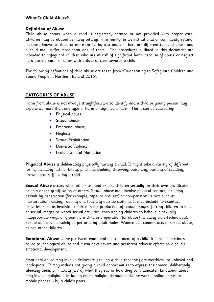### **What Is Child Abuse?**

### **Definition of Abuse**

Child abuse occurs when a child is neglected, harmed or not provided with proper care. Children may be abused in many settings, in a family, in an institutional or community setting, by those known to them or more rarely, by a stranger. There are different types of abuse and a child may suffer more than one of them. The procedures outlined in this document are intended to safeguard children who are at risk of significant harm because of abuse or neglect by a parent, carer or other with a duty of care towards a child.

The following definitions of child abuse are taken from 'Co-operating to Safeguard Children and Young People in Northern Ireland 2016'.

### **CATEGORIES OF ABUSE**

Harm from abuse is not always straightforward to identify and a child or young person may experience more than one type of harm or significant harm. Harm can be caused by:

- Physical abuse;
- Sexual abuse;
- Emotional abuse;
- Neglect;
- **•** Sexual Exploitation;
- Domestic Violence;
- Female Genital Mutilation

**Physical Abuse** is deliberately physically hurting a child. It might take a variety of different forms, including hitting, biting, pinching, shaking, throwing, poisoning, burning or scalding, drowning or suffocating a child.

**Sexual Abuse** occurs when others use and exploit children sexually for their own gratification or gain or the gratification of others. Sexual abuse may involve physical contact, including assault by penetration (for example, rape, or oral sex) or non-penetrative acts such as masturbation, kissing, rubbing and touching outside clothing. It may include non-contact activities, such as involving children in the production of sexual images, forcing children to look at sexual images or watch sexual activities, encouraging children to behave in sexually inappropriate ways or grooming a child in preparation for abuse (including via e-technology). Sexual abuse is not solely perpetrated by adult males. Women can commit acts of sexual abuse, as can other children.

**Emotional Abuse** is the persistent emotional maltreatment of a child. It is also sometimes called psychological abuse and it can have severe and persistent adverse effects on a child's emotional development.

Emotional abuse may involve deliberately telling a child that they are worthless, or unloved and inadequate. It may include not giving a child opportunities to express their views, deliberately silencing them, or 'making fun' of what they say or how they communicate. Emotional abuse may involve bullying – including online bullying through social networks, online games or mobile phones – by a child's peers.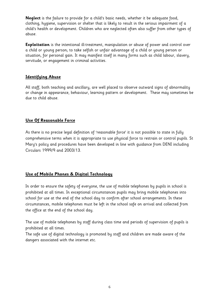**Neglect** is the failure to provide for a child's basic needs, whether it be adequate food, clothing, hygiene, supervision or shelter that is likely to result in the serious impairment of a child's health or development. Children who are neglected often also suffer from other types of abuse.

**Exploitation** is the intentional ill-treatment, manipulation or abuse of power and control over a child or young person; to take selfish or unfair advantage of a child or young person or situation, for personal gain. It may manifest itself in many forms such as child labour, slavery, servitude, or engagement in criminal activities.

### **Identifying Abuse**

All staff, both teaching and ancillary, are well placed to observe outward signs of abnormality or change in appearance, behaviour, learning pattern or development. These may sometimes be due to child abuse.

### **Use Of Reasonable Force**

As there is no precise legal definition of 'reasonable force' it is not possible to state in fully comprehensive terms when it is appropriate to use physical force to restrain or control pupils. St Mary's policy and procedures have been developed in line with guidance from DENI including Circulars 1999/9 and 2003/13.

### **Use of Mobile Phones & Digital Technology**

In order to ensure the safety of everyone, the use of mobile telephones by pupils in school is prohibited at all times. In exceptional circumstances pupils may bring mobile telephones into school for use at the end of the school day to confirm after school arrangements. In these circumstances, mobile telephones must be left in the school safe on arrival and collected from the office at the end of the school day.

The use of mobile telephones by staff during class time and periods of supervision of pupils is prohibited at all times.

The safe use of digital technology is promoted by staff and children are made aware of the dangers associated with the internet etc.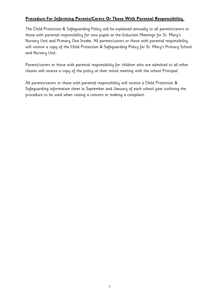### **Procedure For Informing Parents/Carers Or Those With Parental Responsibility**

The Child Protection & Safeguarding Policy will be explained annually to all parents/carers or those with parental responsibility for new pupils at the Induction Meetings for St. Mary's Nursery Unit and Primary One Intake. All parents/carers or those with parental responsibility will receive a copy of the Child Protection & Safeguarding Policy for St. Mary's Primary School and Nursery Unit.

Parents/carers or those with parental responsibility for children who are admitted to all other classes will receive a copy of the policy at their initial meeting with the school Principal.

All parents/carers or those with parental responsibility will receive a Child Protection & Safeguarding information sheet in September and January of each school year outlining the procedure to be used when raising a concern or making a complaint.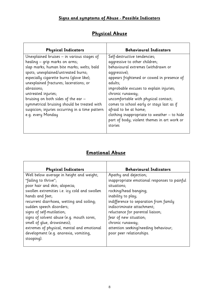### **Signs and symptoms of Abuse - Possible Indicators**

### **Physical Abuse**

| <b>Physical Indicators</b>                                                                                                                                                                                                                                                                                                                                                                                                                               | <b>Behavioural Indicators</b>                                                                                                                                                                                                                                                                                                                                                                                                                                      |
|----------------------------------------------------------------------------------------------------------------------------------------------------------------------------------------------------------------------------------------------------------------------------------------------------------------------------------------------------------------------------------------------------------------------------------------------------------|--------------------------------------------------------------------------------------------------------------------------------------------------------------------------------------------------------------------------------------------------------------------------------------------------------------------------------------------------------------------------------------------------------------------------------------------------------------------|
| Unexplained bruises – in various stages of<br>healing - grip marks on arms;<br>slap marks; human bite marks; welts; bald<br>spots; unexplained/untreated burns;<br>especially cigarette burns (glove like);<br>unexplained fractures; lacerations; or<br>abrasions;<br>untreated injuries;<br>bruising on both sides of the ear -<br>symmetrical bruising should be treated with<br>suspicion; injuries occurring in a time pattern<br>e.g. every Monday | Self-destructive tendencies;<br>aggressive to other children;<br>behavioural extremes (withdrawn or<br>aggressive);<br>appears frightened or cowed in presence of<br>adults;<br>improbable excuses to explain injuries;<br>chronic runaway;<br>uncomfortable with physical contact;<br>comes to school early or stays last as if<br>afraid to be at home;<br>clothing inappropriate to weather - to hide<br>part of body; violent themes in art work or<br>stories |
|                                                                                                                                                                                                                                                                                                                                                                                                                                                          |                                                                                                                                                                                                                                                                                                                                                                                                                                                                    |

### **Emotional Abuse**

| <b>Physical Indicators</b>                    | <b>Behavioural Indicators</b>                |
|-----------------------------------------------|----------------------------------------------|
| Well below average in height and weight;      | Apathy and dejection;                        |
| "failing to thrive";                          | inappropriate emotional responses to painful |
| poor hair and skin; alopecia;                 | situations;                                  |
| swollen extremities i.e. icy cold and swollen | rocking/head banging;                        |
| hands and feet;                               | inability to play;                           |
| recurrent diarrhoea, wetting and soiling;     | indifference to separation from family       |
| sudden speech disorders;                      | indiscriminate attachment;                   |
| signs of self-mutilation;                     | reluctance for parental liaison;             |
| signs of solvent abuse (e.g. mouth sores,     | fear of new situation;                       |
| smell of glue, drowsiness);                   | chronic runaway;                             |
| extremes of physical, mental and emotional    | attention seeking/needing behaviour;         |
| development (e.g. anorexia, vomiting,         | poor peer relationships.                     |
| stooping).                                    |                                              |
|                                               |                                              |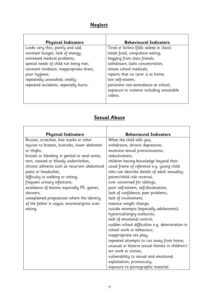## **Neglect**

| <b>Physical Indicators</b>                                                                                                                                                                                                                                                         | <b>Behavioural Indicators</b>                                                                                                                                                                                                                                                                                            |
|------------------------------------------------------------------------------------------------------------------------------------------------------------------------------------------------------------------------------------------------------------------------------------|--------------------------------------------------------------------------------------------------------------------------------------------------------------------------------------------------------------------------------------------------------------------------------------------------------------------------|
| Looks very thin, poorly and sad;<br>constant hunger; lack of energy;<br>untreated medical problems;<br>special needs of child not being met;<br>constant tiredness; inappropriate dress;<br>poor hygiene;<br>repeatedly unwashed; smelly;<br>repeated accidents, especially burns. | Tired or listless (falls asleep in class);<br>steals food; compulsive eating;<br>begging from class friends;<br>withdrawn; lacks concentration;<br>misses school medicals;<br>reports that no carer is at home;<br>low self-esteem;<br>persistent non-attendance at school;<br>exposure to violence including unsuitable |
|                                                                                                                                                                                                                                                                                    | videos.                                                                                                                                                                                                                                                                                                                  |

### **Sexual Abuse**

| <b>Physical Indicators</b>                    | <b>Behavioural Indicators</b>                    |
|-----------------------------------------------|--------------------------------------------------|
| Bruises, scratches, bite marks or other       | What the child tells you;                        |
| injuries to breasts, buttocks, lower abdomen  | withdrawn; chronic depression;                   |
| or thighs;                                    | excessive sexual precociousness;                 |
| bruises or bleeding in genital or anal areas; | seductiveness;                                   |
| torn, stained or bloody underclothes;         | children having knowledge beyond their           |
| chronic ailments such as recurrent abdominal  | usual frame of reference e.g. young child        |
| pains or headaches;                           | who can describe details of adult sexuality;     |
| difficulty in walking or sitting;             | parent/child role reversal;                      |
| frequent urinary infections;                  | over concerned for siblings;                     |
| avoidance of lessons especially PE, games,    | poor self-esteem; self-devaluation;              |
| showers;                                      | lack of confidence; peer problems;               |
| unexplained pregnancies where the identity    | lack of involvement;                             |
| of the father is vague; anorexia/gross over-  | massive weight change;                           |
| eating.                                       | suicide attempts (especially adolescents);       |
|                                               | hysterical/angry outbursts;                      |
|                                               | lack of emotional control;                       |
|                                               | sudden school difficulties e.g. deterioration in |
|                                               | school work or behaviour;                        |
|                                               | inappropriate sex play;                          |
|                                               | repeated attempts to run away from home;         |
|                                               | unusual or bizarre sexual themes in children's   |
|                                               | art work or stories;                             |
|                                               | vulnerability to sexual and emotional            |
|                                               | exploitation; promiscuity;                       |
|                                               | exposure to pornographic material.               |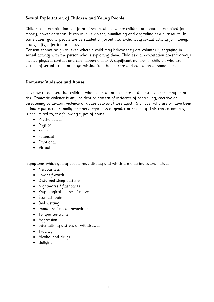### **Sexual Exploitation of Children and Young People**

Child sexual exploitation is a form of sexual abuse where children are sexually exploited for money, power or status. It can involve violent, humiliating and degrading sexual assaults. In some cases, young people are persuaded or forced into exchanging sexual activity for money, drugs, gifts, affection or status.

Consent cannot be given, even where a child may believe they are voluntarily engaging in sexual activity with the person who is exploiting them. Child sexual exploitation doesn't always involve physical contact and can happen online. A significant number of children who are victims of sexual exploitation go missing from home, care and education at some point.

### **Domestic Violence and Abuse**

It is now recognised that children who live in an atmosphere of domestic violence may be at risk. Domestic violence is any incident or pattern of incidents of controlling, coercive or threatening behaviour, violence or abuse between those aged 16 or over who are or have been intimate partners or family members regardless of gender or sexuality. This can encompass, but is not limited to, the following types of abuse:

- Psychological
- Physical
- Sexual
- Financial
- Emotional
- Virtual

Symptoms which young people may display and which are only indicators include:

- Nervousness
- Low self-worth
- Disturbed sleep patterns
- Nightmares / flashbacks
- Physiological stress / nerves
- Stomach pain
- Bed wetting
- Immature / needy behaviour
- Temper tantrums
- Aggression
- Internalising distress or withdrawal
- Truancy
- Alcohol and drugs
- Bullying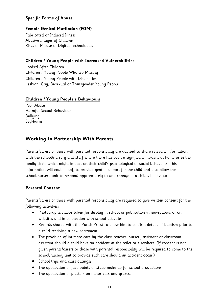### **Specific Forms of Abuse**

### **Female Genital Mutilation (FGM)**

Fabricated or Induced Illness Abusive Images of Children Risks of Misuse of Digital Technologies

### **Children / Young People with Increased Vulnerabilities**

Looked After Children Children / Young People Who Go Missing Children / Young People with Disabilities Lesbian, Gay, Bi-sexual or Transgender Young People

### **Children / Young People's Behaviours**

Peer Abuse Harmful Sexual Behaviour Bullying Self-harm

### **Working In Partnership With Parents**

Parents/carers or those with parental responsibility are advised to share relevant information with the school/nursery unit staff where there has been a significant incident at home or in the family circle which might impact on their child's psychological or social behaviour. This information will enable staff to provide gentle support for the child and also allow the school/nursery unit to respond appropriately to any change in a child's behaviour.

### **Parental Consent**

Parents/carers or those with parental responsibility are required to give written consent for the following activities:

- Photographs/videos taken for display in school or publication in newspapers or on websites and in connection with school activities;
- Records shared with the Parish Priest to allow him to confirm details of baptism prior to a child receiving a new sacrament;
- The provision of intimate care by the class teacher, nursery assistant or classroom assistant should a child have an accident at the toilet or elsewhere; (If consent is not given parents/carers or those with parental responsibility will be required to come to the school/nursery unit to provide such care should an accident occur.)
- School trips and class outings;
- The application of face paints or stage make up for school productions;
- The application of plasters on minor cuts and grazes.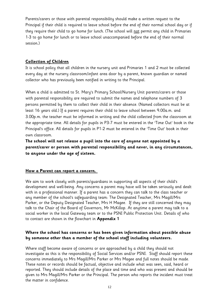Parents/carers or those with parental responsibility should make a written request to the Principal if their child is required to leave school before the end of their normal school day or if they require their child to go home for lunch. (The school will not permit any child in Primaries 1-3 to go home for lunch or to leave school unaccompanied before the end of their normal session.)

### **Collection of Children**

It is school policy that all children in the nursery unit and Primaries 1 and 2 must be collected every day at the nursery classroom/infant area door by a parent, known guardian or named collector who has previously been notified in writing to the Principal.

When a child is admitted to St. Mary's Primary School/Nursery Unit parents/carers or those with parental responsibility are required to submit the names and telephone numbers of 3 persons permitted by them to collect their child in their absence. (Named collectors must be at least 16 years old.) If a parent requires their child to leave school between 9.00a.m. and 3.00p.m. the teacher must be informed in writing and the child collected from the classroom at the appropriate time. All details for pupils in P3-7 must be entered in the 'Time Out' book in the Principal's office. All details for pupils in P1-2 must be entered in the 'Time Out' book in their own classroom.

**The school will not release a pupil into the care of anyone not appointed by a parent/carer or person with parental responsibility and never, in any circumstances, to anyone under the age of sixteen.**

### **How a Parent can report a concern.**

We aim to work closely with parents/guardians in supporting all aspects of their child's development and well-being. Any concerns a parent may have will be taken seriously and dealt with in a professional manner. If a parent has a concern they can talk to the class teacher or any member of the school's safeguarding team: The Designated Teacher, Mrs Magill/Mrs Parker, or the Deputy Designated Teacher, Mrs H Magee. If they are still concerned they may talk to the Chair of the Board of Governors, Mr McKillop. At anytime a parent may talk to a social worker in the local Gateway team or to the PSNI Public Protection Unit. Details of who to contact are shown in the flowchart in **Appendix 1**

### **Where the school has concerns or has been given information about possible abuse by someone other than a member of the school staff including volunteers.**

Where staff become aware of concerns or are approached by a child they should not investigate as this is the responsibility of Social Services and/or PSNI. Staff should report these concerns immediately to Mrs Magill/Mrs Parker or Mrs Magee and full notes should be made. These notes or records should be factual, objective and include what was seen, said, heard or reported. They should include details of the place and time and who was present and should be given to Mrs Magill/Mrs Parker or the Principal. The person who reports the incident must treat the matter in confidence.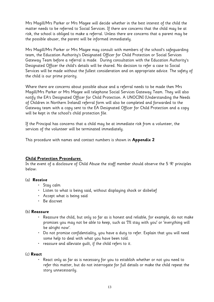Mrs Magill/Mrs Parker or Mrs Magee will decide whether in the best interest of the child the matter needs to be referred to Social Services. If there are concerns that the child may be at risk, the school is obliged to make a referral. Unless there are concerns that a parent may be the possible abuser, the parent will be informed immediately.

Mrs Magill/Mrs Parker or Mrs Magee may consult with members of the school's safeguarding team, the Education Authority's Designated Officer for Child Protection or Social Services Gateway Team before a referral is made. During consultation with the Education Authority's Designated Officer the child's details will be shared. No decision to refer a case to Social Services will be made without the fullest consideration and on appropriate advice. The safety of the child is our prime priority.

Where there are concerns about possible abuse and a referral needs to be made then Mrs Magill/Mrs Parker or Mrs Magee will telephone Social Services Gateway Team. They will also notify the EA's Designated Officer for Child Protection. A UNOCINI (Understanding the Needs of Children in Northern Ireland) referral form will also be completed and forwarded to the Gateway team with a copy sent to the EA Designated Officer for Child Protection and a copy will be kept in the school's child protection file.

If the Principal has concerns that a child may be at immediate risk from a volunteer, the services of the volunteer will be terminated immediately.

This procedure with names and contact numbers is shown in **Appendix 2**

### **Child Protection Procedures**

In the event of a disclosure of Child Abuse the staff member should observe the 5 'R' principles below:

### (a) **Receive**

- Stay calm
- Listen to what is being said, without displaying shock or disbelief
- Accept what is being said
- Be discreet

#### (b) **Reassure**

- Reassure the child, but only so far as is honest and reliable, for example, do not make promises you may not be able to keep, such as 'I'll stay with you' or 'everything will be alright now'.
- Do not promise confidentiality, you have a duty to refer. Explain that you will need some help to deal with what you have been told.
- reassure and alleviate guilt, if the child refers to it.

### (c) **React**

• React only as far as is necessary for you to establish whether or not you need to refer this matter, but do not interrogate for full details or make the child repeat the story unnecessarily.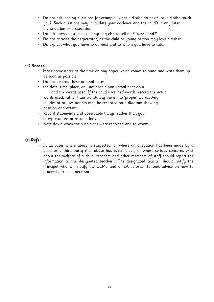- Do not ask leading questions for example, 'what did s/he do next?' or 'did s/he touch you?' Such questions may invalidate your evidence and the child's in any later investigation or prosecution.
- Do ask open questions like 'anything else to tell me?' 'yes?' 'and?'
- Do not criticise the perpetrator, as the child or young person may love him/her.
- Do explain what you have to do next and to whom you have to talk.

#### (d) **Record**

- Make some notes at the time on any paper which comes to hand and write them up as soon as possible.
- Do not destroy these original notes.
- the date, time, place, any noticeable non-verbal behaviour, and the words used. If the child uses 'pet' words, record the actual words used, rather than translating them into 'proper' words. Any injuries or bruises notices may be recorded on a diagram showing position and extent.
- Record statements and observable things, rather than your interpretations or assumptions.
- Note down when the suspicions were reported and to whom.

### (e) **Refer**

• In all cases where abuse is suspected, or where an allegation has been made by a pupil or a third party that abuse has taken place, or where serious concerns exist about the welfare of a child, teachers and other members of staff should report the information to the designated teacher. The designated teacher should notify the Principal who will notify the CCMS and or EA in order to seek advice on how to proceed further if necessary.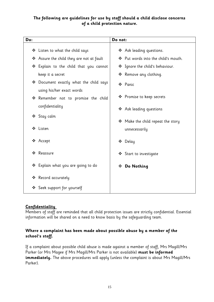### **The following are guidelines for use by staff should a child disclose concerns of a child protection nature.**

| Do: |                                                                  | Do not:                                     |
|-----|------------------------------------------------------------------|---------------------------------------------|
|     | $\clubsuit$ Listen to what the child says                        | ❖ Ask leading questions.                    |
|     | ❖ Assure the child they are not at fault                         | ❖ Put words into the child's mouth.         |
|     | ❖ Explain to the child that you cannot                           | * Ignore the child's behaviour.             |
|     | keep it a secret                                                 | * Remove any clothing.                      |
|     | $\clubsuit$ Document exactly what the child says                 | ❖ Panic                                     |
|     | using his/her exact words<br>* Remember not to promise the child | ❖ Promise to keep secrets                   |
|     | confidentiality                                                  | ❖ Ask leading questions                     |
|     | ❖ Stay calm                                                      | $\clubsuit$ Make the child repeat the story |
|     | ❖ Listen                                                         | unnecessarily                               |
|     | ❖ Accept                                                         | ❖ Delay                                     |
| ❖   | Reassure                                                         | ❖ Start to investigate                      |
|     | ❖ Explain what you are going to do                               | * Do Nothing                                |
|     | ❖ Record accurately                                              |                                             |
| ❖   | Seek support for yourself                                        |                                             |

### **Confidentiality**

Members of staff are reminded that all child protection issues are strictly confidential. Essential information will be shared on a need to know basis by the safeguarding team.

### **Where a complaint has been made about possible abuse by a member of the school's staff.**

If a complaint about possible child abuse is made against a member of staff, Mrs Magill/Mrs Parker (or Mrs Magee if Mrs Magill/Mrs Parker is not available) **must be informed immediately.** The above procedures will apply (unless the complaint is about Mrs Magill/Mrs Parker).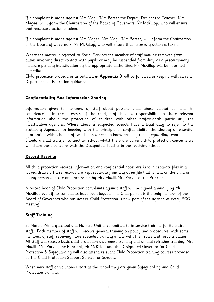If a complaint is made against Mrs Magill/Mrs Parker the Deputy Designated Teacher, Mrs Magee, will inform the Chairperson of the Board of Governors, Mr McKillop, who will ensure that necessary action is taken.

If a complaint is made against Mrs Magee, Mrs Magill/Mrs Parker, will inform the Chairperson of the Board of Governors, Mr McKillop, who will ensure that necessary action is taken.

Where the matter is referred to Social Services the member of staff may be removed from duties involving direct contact with pupils or may be suspended from duty as a precautionary measure pending investigation by the appropriate authorities. Mr McKillop will be informed immediately.

Child protection procedures as outlined in **Appendix 3** will be followed in keeping with current Department of Education guidance.

### **Confidentiality And Information Sharing**

Information given to members of staff about possible child abuse cannot be held "in confidence". In the interests of the child, staff have a responsibility to share relevant information about the protection of children with other professionals particularly the investigative agencies. Where abuse is suspected schools have a legal duty to refer to the Statutory Agencies. In keeping with the principle of confidentiality, the sharing of essential information with school staff will be on a need to know basis by the safeguarding team. Should a child transfer to another school whilst there are current child protection concerns we will share these concerns with the Designated Teacher in the receiving school.

### **Record Keeping**

All child protection records, information and confidential notes are kept in separate files in a locked drawer. These records are kept separate from any other file that is held on the child or young person and are only accessible by Mrs Magill/Mrs Parker or the Principal.

A record book of Child Protection complaints against staff will be signed annually by Mr McKillop even if no complaints have been logged. The Chairperson is the only member of the Board of Governors who has access. Child Protection is now part of the agenda at every BOG meeting.

### **Staff Training**

St Mary's Primary School and Nursery Unit is committed to in-service training for its entire staff. Each member of staff will receive general training on policy and procedures, with some members of staff receiving more specialist training in line with their roles and responsibilities. All staff will receive basic child protection awareness training and annual refresher training. Mrs Magill, Mrs Parker, the Principal, Mr McKillop and the Designated Governor for Child Protection & Safeguarding will also attend relevant Child Protection training courses provided by the Child Protection Support Service for Schools.

When new staff or volunteers start at the school they are given Safeguarding and Child Protection training.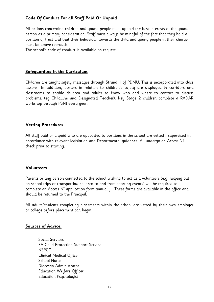### **Code Of Conduct For all Staff Paid Or Unpaid**

All actions concerning children and young people must uphold the best interests of the young person as a primary consideration. Staff must always be mindful of the fact that they hold a position of trust and that their behaviour towards the child and young people in their charge must be above reproach.

The school's code of conduct is available on request.

### **Safeguarding in the Curriculum**

Children are taught safety messages through Strand 1 of PDMU. This is incorporated into class lessons. In addition, posters in relation to children's safety are displayed in corridors and classrooms to enable children and adults to know who and where to contact to discuss problems. (eg ChildLine and Designated Teacher). Key Stage 2 children complete a RADAR workshop through PSNI every year.

### **Vetting Procedures**

All staff paid or unpaid who are appointed to positions in the school are vetted / supervised in accordance with relevant legislation and Departmental guidance. All undergo an Access NI check prior to starting.

### **Volunteers**

Parents or any person connected to the school wishing to act as a volunteers (e.g. helping out on school trips or transporting children to and from sporting events) will be required to complete an Access NI application form annually. These forms are available in the office and should be returned to the Principal.

All adults/students completing placements within the school are vetted by their own employer or college before placement can begin.

### **Sources of Advice:**

Social Services EA Child Protection Support Service NSPCC Clinical Medical Officer School Nurse Diocesan Administrator Education Welfare Officer Education Psychologist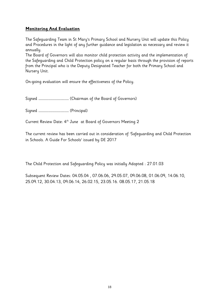### **Monitoring And Evaluation**

The Safeguarding Team in St Mary's Primary School and Nursery Unit will update this Policy and Procedures in the light of any further guidance and legislation as necessary and review it annually.

The Board of Governors will also monitor child protection activity and the implementation of the Safeguarding and Child Protection policy on a regular basis through the provision of reports from the Principal who is the Deputy Designated Teacher for both the Primary School and Nursery Unit.

On-going evaluation will ensure the effectiveness of the Policy.

Signed ……………………………………… (Chairman of the Board of Governors)

Signed ……………………………………… (Principal)

Current Review Date: 4th June at Board of Governors Meeting 2

The current review has been carried out in consideration of 'Safeguarding and Child Protection in Schools. A Guide For Schools' issued by DE 2017

The Child Protection and Safeguarding Policy was initially Adopted : 27.01.03

Subsequent Review Dates: 04.05.04 , 07.06.06, 29.05.07, 09.06.08, 01.06.09, 14.06.10, 25.09.12, 30.04.13, 09.06.14, 26.02.15, 23.05.16. 08.05.17, 21.05.18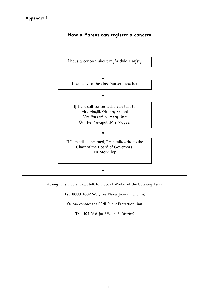

### **How a Parent can register a concern**

At any time a parent can talk to a Social Worker at the Gateway Team

**Tel: 0800 7837745** (Free Phone from a Landline)

Or can contact the PSNI Public Protection Unit

**Tel**: **101** (Ask for PPU in 'E' District)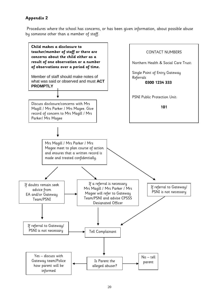Procedures where the school has concerns, or has been given information, about possible abuse by someone other than a member of staff.

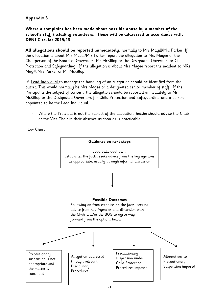### **Where a complaint has been made about possible abuse by a member of the school's staff including volunteers. These will be addressed in accordance with DENI Circular 2015/13.**

**All allegations should be reported immediately,** normally to Mrs Magill/Mrs Parker. If the allegation is about Mrs Magill/Mrs Parker report the allegation to Mrs Magee or the Chairperson of the Board of Governors, Mr McKillop or the Designated Governor for Child Protection and Safeguarding. If the allegation is about Mrs Magee report the incident to MRs Magill/Mrs Parker or Mr McKillop.

A Lead Individual to manage the handling of an allegation should be identified from the outset. This would normally be Mrs Magee or a designated senior member of staff. If the Principal is the subject of concern, the allegation should be reported immediately to Mr McKillop or the Designated Governors for Child Protection and Safeguarding and a person appointed to be the Lead Individual.

Where the Principal is not the subject of the allegation, he/she should advise the Chair or the Vice-Chair in their absence as soon as is practicable.

Flow Chart

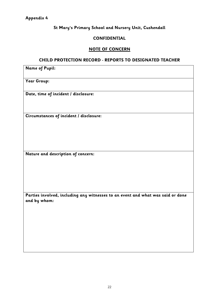### **St Mary's Primary School and Nursery Unit, Cushendall**

### **CONFIDENTIAL**

### **NOTE OF CONCERN**

### **CHILD PROTECTION RECORD - REPORTS TO DESIGNATED TEACHER**

| <b>Name of Pupil:</b>                                                                           |
|-------------------------------------------------------------------------------------------------|
| Year Group:                                                                                     |
| Date, time of incident / disclosure:                                                            |
| Circumstances of incident / disclosure:                                                         |
| Nature and description of concern:                                                              |
| Parties involved, including any witnesses to an event and what was said or done<br>and by whom: |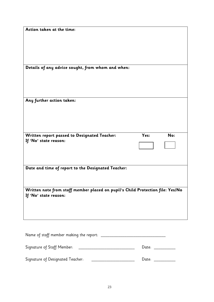| Action taken at the time:                                                      |                  |
|--------------------------------------------------------------------------------|------------------|
|                                                                                |                  |
|                                                                                |                  |
|                                                                                |                  |
| Details of any advice sought, from whom and when:                              |                  |
|                                                                                |                  |
|                                                                                |                  |
|                                                                                |                  |
| Any further action taken:                                                      |                  |
|                                                                                |                  |
|                                                                                |                  |
|                                                                                |                  |
| Written report passed to Designated Teacher:                                   | Yes:<br>No:      |
| If 'No' state reason:                                                          |                  |
|                                                                                |                  |
|                                                                                |                  |
| Date and time of report to the Designated Teacher:                             |                  |
|                                                                                |                  |
| Written note from staff member placed on pupil's Child Protection file: Yes/No |                  |
| If 'No' state reason:                                                          |                  |
|                                                                                |                  |
|                                                                                |                  |
|                                                                                |                  |
|                                                                                |                  |
|                                                                                |                  |
| Signature of Staff Member: _____________________________                       | Date: _________  |
| Signature of Designated Teacher:                                               | Date: __________ |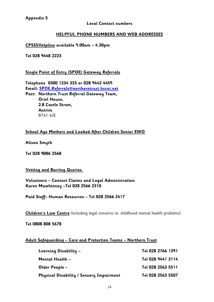### **Local Contact numbers**

### **HELPFUL PHONE NUMBERS AND WEB ADDRESSES**

**CPSSSHelpline available 9.00am – 4.30pm**

**Tel 028 9448 2223**

### **Single Point of Entry (SPOE) Gateway Referrals**

**Telephone 0300 1234 333 or 028 9442 4459 Email: [SPOE.Referrals@northerntrust.hscni.net](mailto:SPOE.Referrals@northerntrust.hscni.net) Post: Northern Trust Referral Gateway Team, Oriel House, 2-8 Castle Street, Antrim**  BT41 4JE

### **School Age Mothers and Looked After Children Senior EWO**

**Alison Smyth**

**Tel 028 9086 2568**

### **Vetting and Barring Queries**

**Volunteers – Contact Claims and Legal Administration Karen Mawhinney –Tel 028 2566 2310**

**Paid Staff– Human Resources – Tel 028 2566 2417**

**Children's Law Centre** (including legal concerns re: childhood mental health problems)

**Tel 0808 808 5678**

#### **Adult Safeguarding – Care and Protection Teams – Northern Trust**

| Learning Disability –                    | Tel 028 2766 1391 |
|------------------------------------------|-------------------|
| Mental Health –                          | Tel 028 9441 3114 |
| Older People –                           | Tel 028 2563 5511 |
| Physical Disability / Sensory Impairment | Tel 028 2563 5507 |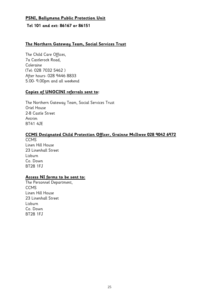### **PSNI, Ballymena Public Protection Unit**

### **Tel 101 and ext: 86167 or 86151**

### **The Northern Gateway Team, Social Services Trust**

The Child Care Offices, 7a Castlerock Road, Coleraine (Tel: 028 7032 5462 ) After hours- 028 9446 8833 5.00- 9.00pm and all weekend

### **Copies of UNOCINI referrals sent to:**

The Northern Gateway Team, Social Services Trust Oriel House 2-8 Castle Street Antrim BT41 4JE

### **CCMS Designated Child Protection Officer, Grainne McIlwee 028 9042 6972**

**CCMS** Linen Hill House 23 Linenhall Street Lisburn Co. Down BT28 1FJ

### **Access NI forms to be sent to:**

The Personnel Department, CCMS Linen Hill House 23 Linenhall Street Lisburn Co. Down BT28 1FJ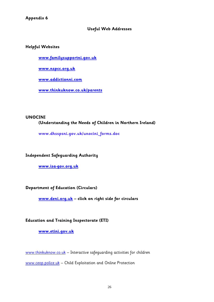### **Useful Web Addresses**

### **Helpful Websites**

**[www.familysupportni.gov.uk](http://www.familysupportni.gov.uk/)**

**[www.nspcc.org.uk](http://www.nspcc.org.uk/)**

**[www.addictionni.com](http://www.addictionni.com/)**

**[www.thinkuknow.co.uk/parents](https://mail.c2kschools.net/owa/redir.aspx?C=ZEvL3GNQIk-Y1ZTw9pKhJYqDOnghCtMIPyahwnze4wwiuGjzchW7uIUAhJLUf7TjWLrYNUy-zuo.&URL=http%3a%2f%2fwww.thinkuknow.co.uk%2fparents)**

### **UNOCINI**

### **(Understanding the Needs of Children in Northern Ireland)**

**www.dhsspsni.gov.uk/unocini\_forms.doc**

### **Independent Safeguarding Authority**

**[www.isa-gov.org.uk](http://www.isa-gov.org.uk/)**

### **Department of Education (Circulars)**

**[www.deni.org.uk](http://www.deni.og.uk/) – click on right side for circulars**

### **Education and Training Inspectorate (ETI)**

### **[www.etini.gov.uk](http://www.etini.gov.uk/)**

[www.thinkuknow.co.uk](http://www.thinkuknow.co.uk/) - Interactive safeguarding activities for children

[www.ceop.police.uk](http://www.ceop.police.uk/) - Child Exploitation and Online Protection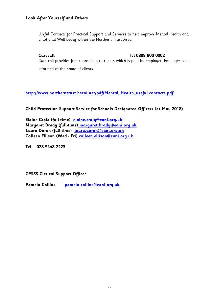### **Look After Yourself and Others**

Useful Contacts for Practical Support and Services to help improve Mental Health and Emotional Well Being within the Northern Trust Area

### **Carecall Tel 0808 800 0002**

Care call provides free counselling to clients which is paid by employer. Employer is not informed of the name of clients.

**[http://www.northerntrust.hscni.net/pdf/Mental\\_Health\\_useful contacts.pdf](http://www.northerntrust.hscni.net/pdf/Mental_Health_useful%20contacts.pdf)**

**Child Protection Support Service for Schools Designated Officers (at May 2018)**

**Elaine Craig (full-time) [elaine.craig@eani.org.uk](mailto:elaine.craig@eani.org.uk) Margaret Brady (full-time) [margaret.brady@eani.org.uk](mailto:%20margaret.brady@eani.org.uk) Laura Doran (full-time) [laura.doran@eani.org.uk](mailto:laura.doran@eani.org.uk) Colleen Ellison (Wed - Fri) [colleen.ellison@eani.org.uk](mailto:colleen.ellison@eani.org.uk)**

**Tel: 028 9448 2223**

**CPSSS Clerical Support Officer**

**Pamela Collins [pamela.collins@eani.org.uk](mailto:pamela.collins@eani.org.uk)**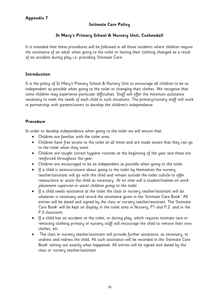### **Intimate Care Policy**

### **St Mary's Primary School & Nursery Unit, Cushendall**

It is intended that these procedures will be followed in all those incidents where children require the assistance of an adult when going to the toilet or having their clothing changed as a result of an accident during play i.e. providing 'Intimate Care'.

### **Introduction**

It is the policy of St Mary's Primary School & Nursery Unit to encourage all children to be as independent as possible when going to the toilet or changing their clothes. We recognise that some children may experience particular difficulties. Staff will offer the minimum assistance necessary to meet the needs of each child in such situations. The primary/nursery staff will work in partnership with parents/carers to develop the children's independence.

### **Procedure**

In order to develop independence when going to the toilet we will ensure that:

- Children are familiar with the toilet area.
- Children have free access to the toilet at all times and are made aware that they can go to the toilet when they want.
- Children are taught correct hygiene routines at the beginning of the year and these are reinforced throughout the year.
- Children are encouraged to be as independent as possible when going to the toilet.
- If a child is anxious/unsure about going to the toilet by themselves the nursery teacher/assistant will go with the child and remain outside the toilet cubicle to offer reassurance or assist the child as necessary. At no time will a student/trainee on work placement supervise or assist children going to the toilet.
- If a child needs assistance at the toilet the class or nursery teacher/assistant will do whatever is necessary and record the assistance given in the 'Intimate Care Book'. All entries will be dated and signed by the class or nursery teacher/assistant. The 'Intimate Care Book' will be kept on display in the toilet area in Nursery, P1 and P.2. and in the P.3 classroom.
- If a child has an accident at the toilet, or during play, which requires intimate care or removing clothing primary or nursery staff will encourage the child to remove their own clothes, etc.
- The class or nursery teacher/assistant will provide further assistance, as necessary, to undress and redress the child. All such assistance will be recorded in the 'Intimate Care Book' setting out exactly what happened. All entries will be signed and dated by the class or nursery teacher/assistant.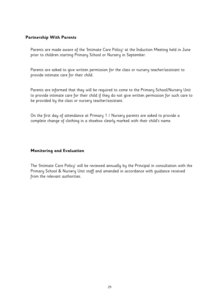### **Partnership With Parents**

Parents are made aware of the 'Intimate Care Policy' at the Induction Meeting held in June prior to children starting Primary School or Nursery in September.

Parents are asked to give written permission for the class or nursery teacher/assistant to provide intimate care for their child.

Parents are informed that they will be required to come to the Primary School/Nursery Unit to provide intimate care for their child if they do not give written permission for such care to be provided by the class or nursery teacher/assistant.

On the first day of attendance at Primary 1 / Nursery parents are asked to provide a complete change of clothing in a shoebox clearly marked with their child's name.

### **Monitoring and Evaluation**

The 'Intimate Care Policy' will be reviewed annually by the Principal in consultation with the Primary School & Nursery Unit staff and amended in accordance with guidance received from the relevant authorities.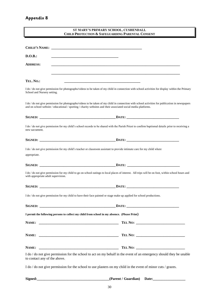L

|                                                                                                                                         | ST MARY'S PRIMARY SCHOOL, CUSHENDALL<br><b>CHILD PROTECTION &amp; SAFEGUARDING PARENTAL CONSENT</b>                                                |
|-----------------------------------------------------------------------------------------------------------------------------------------|----------------------------------------------------------------------------------------------------------------------------------------------------|
|                                                                                                                                         |                                                                                                                                                    |
|                                                                                                                                         |                                                                                                                                                    |
| D.O.B.:                                                                                                                                 |                                                                                                                                                    |
| <b>ADDRESS:</b>                                                                                                                         |                                                                                                                                                    |
| TEL. NO.:                                                                                                                               |                                                                                                                                                    |
| School and Nursery setting.                                                                                                             | I do / do not give permission for photographs/videos to be taken of my child in connection with school activities for display within the Primary   |
| and on school website / educational / sporting / charity websites and their associated social media platforms.                          | I do / do not give permission for photographs/videos to be taken of my child in connection with school activities for publication in newspapers    |
|                                                                                                                                         |                                                                                                                                                    |
| new sacrament.                                                                                                                          | I do / do not give permission for my child's school records to be shared with the Parish Priest to confirm baptismal details prior to receiving a  |
|                                                                                                                                         |                                                                                                                                                    |
| I do / do not give permission for my child's teacher or classroom assistant to provide intimate care for my child where<br>appropriate. |                                                                                                                                                    |
|                                                                                                                                         |                                                                                                                                                    |
| with appropriate adult supervision.                                                                                                     | I do / do not give permission for my child to go on school outings to local places of interest. All trips will be on foot, within school hours and |
|                                                                                                                                         |                                                                                                                                                    |
| I do / do not give permission for my child to have their face painted or stage make up applied for school productions.                  |                                                                                                                                                    |
|                                                                                                                                         |                                                                                                                                                    |
| I permit the following persons to collect my child from school in my absence. (Please Print)                                            |                                                                                                                                                    |
|                                                                                                                                         |                                                                                                                                                    |
|                                                                                                                                         |                                                                                                                                                    |
|                                                                                                                                         |                                                                                                                                                    |
| to contact any of the above.                                                                                                            | I do / do not give permission for the school to act on my behalf in the event of an emergency should they be unable                                |
|                                                                                                                                         | I do / do not give permission for the school to use plasters on my child in the event of minor cuts / grazes.                                      |
|                                                                                                                                         |                                                                                                                                                    |

30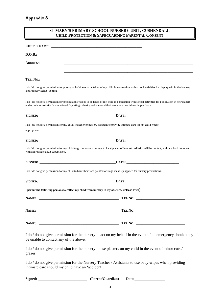| ST MARY'S PRIMARY SCHOOL NURSERY UNIT, CUSHENDALL<br><b>CHILD PROTECTION &amp; SAFEGUARDING PARENTAL CONSENT</b>                                                                                                                                                    |  |
|---------------------------------------------------------------------------------------------------------------------------------------------------------------------------------------------------------------------------------------------------------------------|--|
|                                                                                                                                                                                                                                                                     |  |
| D.O.B.:                                                                                                                                                                                                                                                             |  |
| <b>ADDRESS:</b>                                                                                                                                                                                                                                                     |  |
| TEL. NO.:<br><u> 1989 - Johann Barbara, martxa alemaniar argumento este alemaniar alemaniar alemaniar alemaniar alemaniar al</u>                                                                                                                                    |  |
| I do / do not give permission for photographs/videos to be taken of my child in connection with school activities for display within the Nursery<br>and Primary School setting.                                                                                     |  |
| I do / do not give permission for photographs/videos to be taken of my child in connection with school activities for publication in newspapers<br>and on school website $&$ educational / sporting / charity websites and their associated social media platforms. |  |
|                                                                                                                                                                                                                                                                     |  |
| I do / do not give permission for my child's teacher or nursery assistant to provide intimate care for my child where<br>appropriate.                                                                                                                               |  |
| SIGNED: DATE: DATE:                                                                                                                                                                                                                                                 |  |
| I do / do not give permission for my child to go on nursery outings to local places of interest. All trips will be on foot, within school hours and<br>with appropriate adult supervision.                                                                          |  |
|                                                                                                                                                                                                                                                                     |  |
| I do / do not give permission for my child to have their face painted or stage make up applied for nursery productions.                                                                                                                                             |  |
|                                                                                                                                                                                                                                                                     |  |
| I permit the following persons to collect my child from nursery in my absence. (Please Print)                                                                                                                                                                       |  |
|                                                                                                                                                                                                                                                                     |  |
|                                                                                                                                                                                                                                                                     |  |
|                                                                                                                                                                                                                                                                     |  |
| I do / do not give permission for the nursery to act on my behalf in the event of an emergency should they                                                                                                                                                          |  |

be unable to contact any of the above.

I do / do not give permission for the nursery to use plasters on my child in the event of minor cuts / grazes.

I do / do not give permission for the Nursery Teacher / Assistants to use baby-wipes when providing intimate care should my child have an 'accident'.

| Signed:<br>(Parent/Guardian) |
|------------------------------|
|------------------------------|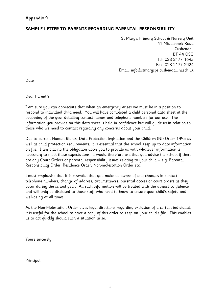### **SAMPLE LETTER TO PARENTS REGARDING PARENTAL RESPONSIBILITY**

St Mary's Primary School & Nursery Unit 41 Middlepark Road Cushendall BT 44 OSQ Tel: 028 2177 1693 Fax: 028 2177 2924 Email: info@stmarysps.cushendall.ni.sch.uk

Date

Dear Parent/s,

I am sure you can appreciate that when an emergency arises we must be in a position to respond to individual child need. You will have completed a child personal data sheet at the beginning of the year detailing contact names and telephone numbers for our use. The information you provide on this data sheet is held in confidence but will guide us in relation to those who we need to contact regarding any concerns about your child.

Due to current Human Rights, Data Protection legislation and the Children (NI) Order 1995 as well as child protection requirements, it is essential that the school keep up to date information on file. I am placing the obligation upon you to provide us with whatever information is necessary to meet these expectations. I would therefore ask that you advise the school if there are any Court Orders or parental responsibility issues relating to your child – e.g. Parental Responsibility Order, Residence Order, Non-molestation Order etc.

I must emphasise that it is essential that you make us aware of any changes in contact telephone numbers, change of address, circumstances, parental access or court orders as they occur during the school year. All such information will be treated with the utmost confidence and will only be disclosed to those staff who need to know to ensure your child's safety and well-being at all times.

As the Non-Molestation Order gives legal directions regarding exclusion of a certain individual, it is useful for the school to have a copy of this order to keep on your child's file. This enables us to act quickly should such a situation arise.

Yours sincerely

Principal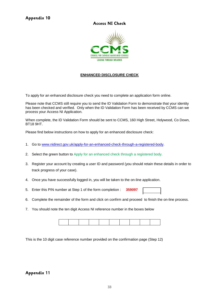### **Access NI Check**



#### **ENHANCED DISCLOSURE CHECK**

To apply for an enhanced disclosure check you need to complete an application form online.

Please note that CCMS still require you to send the ID Validation Form to demonstrate that your identity has been checked and verified. Only when the ID Validation Form has been received by CCMS can we process your Access NI Application.

When complete, the ID Validation Form should be sent to CCMS, 160 High Street, Holywood, Co Down, BT18 9HT.

Please find below instructions on how to apply for an enhanced disclosure check:

- 1. Go to [www.nidirect.gov.uk/apply-for-an-enhanced-check-through-a-registered-body.](http://www.nidirect.gov.uk/apply-for-an-enhanced-check-through-a-registered-body)
- 2. Select the green button to Apply for an enhanced check through a registered body.
- 3. Register your account by creating a user ID and password (you should retain these details in order to track progress of your case).
- 4. Once you have successfully logged in, you will be taken to the on-line application.
- 5. Enter this PIN number at Step 1 of the form completion : **359097**
- 6. Complete the remainder of the form and click on confirm and proceed to finish the on-line process.
- 7. You should note the ten digit Access NI reference number in the boxes below

This is the 10 digit case reference number provided on the confirmation page (Step 12)

#### **Appendix 11**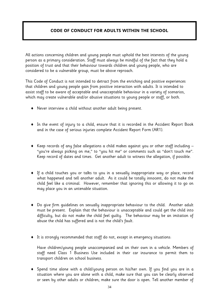### **CODE OF CONDUCT FOR ADULTS WITHIN THE SCHOOL**

All actions concerning children and young people must uphold the best interests of the young person as a primary consideration. Staff must always be mindful of the fact that they hold a position of trust and that their behaviour towards children and young people, who are considered to be a vulnerable group, must be above reproach.

This Code of Conduct is not intended to detract from the enriching and positive experiences that children and young people gain from positive interaction with adults. It is intended to assist staff to be aware of acceptable and unacceptable behaviour in a variety of scenarios, which may create vulnerable and/or abusive situations to young people or staff, or both.

- Never interview a child without another adult being present.
- In the event of injury to a child, ensure that it is recorded in the Accident Report Book and in the case of serious injuries complete Accident Report Form (AR1).
- $\blacklozenge$  Keep records of any false allegations a child makes against you or other staff including  $-$ "you're always picking on me," to "you hit me" or comments such as "don't touch me". Keep record of dates and times. Get another adult to witness the allegation, if possible.
- If a child touches you or talks to you in a sexually inappropriate way or place, record what happened and tell another adult. As it could be totally innocent, do not make the child feel like a criminal. However, remember that ignoring this or allowing it to go on may place you in an untenable situation.
- Do give firm guidelines on sexually inappropriate behaviour to the child. Another adult must be present. Explain that the behaviour is unacceptable and could get the child into difficulty, but do not make the child feel guilty. The behaviour may be an imitation of abuse the child has suffered and is not the child's fault.
- It is strongly recommended that staff do not, except in emergency situations:

Have children/young people unaccompanied and on their own in a vehicle. Members of staff need Class 1 Business Use included in their car insurance to permit them to transport children on school business.

 Spend time alone with a child/young person on his/her own. If you find you are in a situation where you are alone with a child, make sure that you can be clearly observed or seen by other adults or children; make sure the door is open. Tell another member of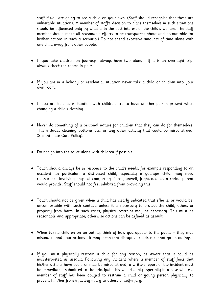staff if you are going to see a child on your own. (Staff should recognise that these are vulnerable situations. A member of staff's decision to place themselves in such situations should be influenced only by what is in the best interest of the child's welfare. The staff member should make all reasonable efforts to be transparent about and accountable for his/her actions in such a scenario.) Do not spend excessive amounts of time alone with one child away from other people.

- If you take children on journeys, always have two along. If it is an overnight trip, always check the rooms in pairs.
- If you are in a holiday or residential situation never take a child or children into your own room.
- If you are in a care situation with children, try to have another person present when changing a child's clothing.
- Never do something of a personal nature for children that they can do for themselves. This includes cleaning bottoms etc. or any other activity that could be misconstrued. (See Intimate Care Policy).
- Do not go into the toilet alone with children if possible.
- Touch should always be in response to the child's needs, for example responding to an accident. In particular, a distressed child, especially a younger child, may need reassurance involving physical comforting if lost, unwell, frightened, as a caring parent would provide. Staff should not feel inhibited from providing this;
- Touch should not be given when a child has clearly indicated that s/he is, or would be, uncomfortable with such contact, unless it is necessary to protect the child, others or property from harm. In such cases, physical restraint may be necessary. This must be reasonable and appropriate; otherwise actions can be defined as assault.
- When taking children on an outing, think of how you appear to the public they may misunderstand your actions. It may mean that disruptive children cannot go on outings.
- If you must physically restrain a child for any reason, be aware that it could be misinterpreted as assault. Following any incident where a member of staff feels that his/her actions have been, or may be misconstrued, a written report of the incident must be immediately submitted to the principal. This would apply especially in a case where a member of staff has been obliged to restrain a child or young person physically to prevent him/her from inflicting injury to others or self-injury.